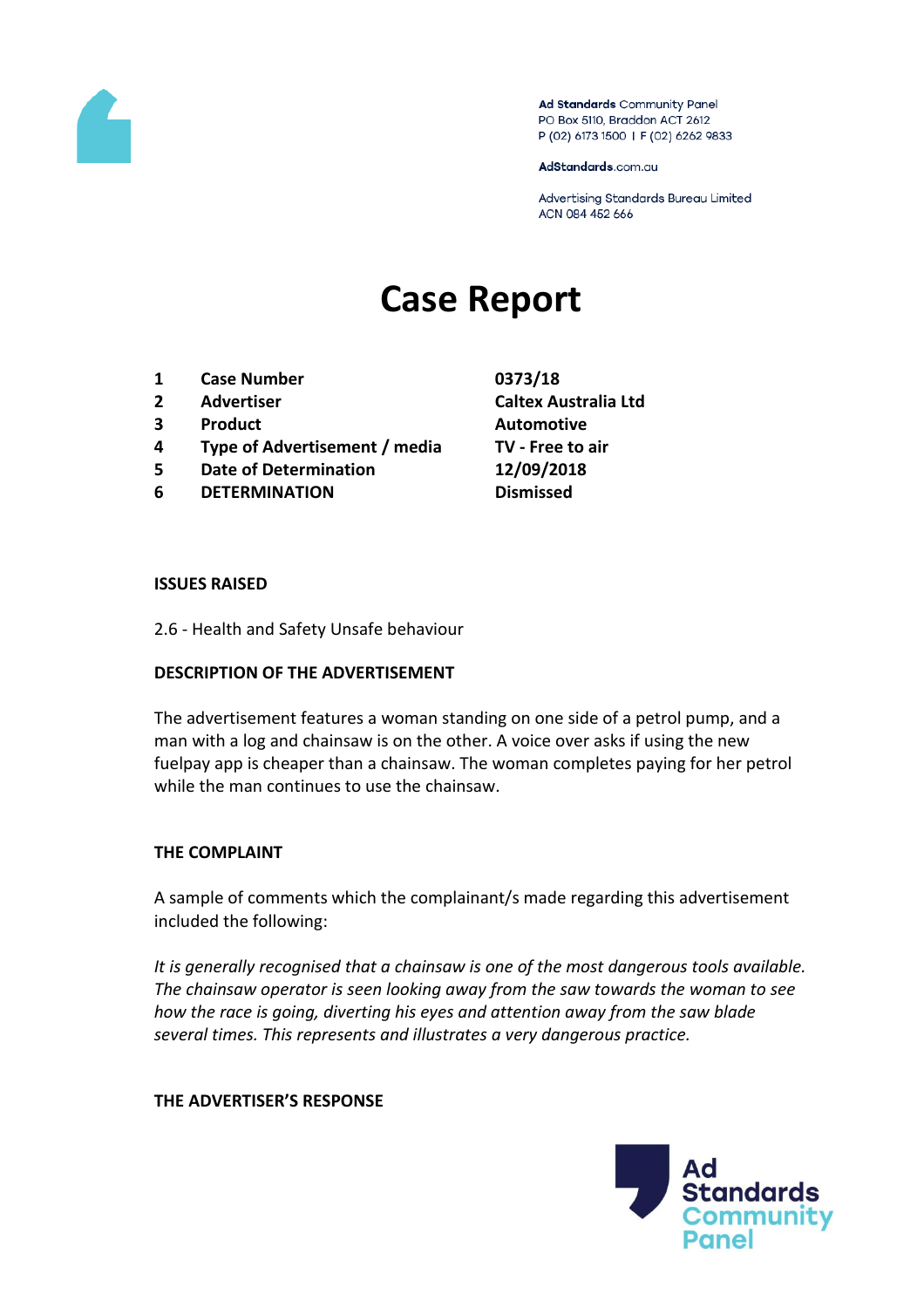

Ad Standards Community Panel PO Box 5110, Braddon ACT 2612 P (02) 6173 1500 | F (02) 6262 9833

AdStandards.com.au

Advertising Standards Bureau Limited ACN 084 452 666

# **Case Report**

- **1 Case Number 0373/18**
- 
- **3 Product Automotive**
- **4 Type of Advertisement / media TV - Free to air**
- **5 Date of Determination 12/09/2018**
- **6 DETERMINATION Dismissed**
- **2 Advertiser Caltex Australia Ltd**

#### **ISSUES RAISED**

2.6 - Health and Safety Unsafe behaviour

# **DESCRIPTION OF THE ADVERTISEMENT**

The advertisement features a woman standing on one side of a petrol pump, and a man with a log and chainsaw is on the other. A voice over asks if using the new fuelpay app is cheaper than a chainsaw. The woman completes paying for her petrol while the man continues to use the chainsaw.

# **THE COMPLAINT**

A sample of comments which the complainant/s made regarding this advertisement included the following:

*It is generally recognised that a chainsaw is one of the most dangerous tools available. The chainsaw operator is seen looking away from the saw towards the woman to see how the race is going, diverting his eyes and attention away from the saw blade several times. This represents and illustrates a very dangerous practice.*

#### **THE ADVERTISER'S RESPONSE**

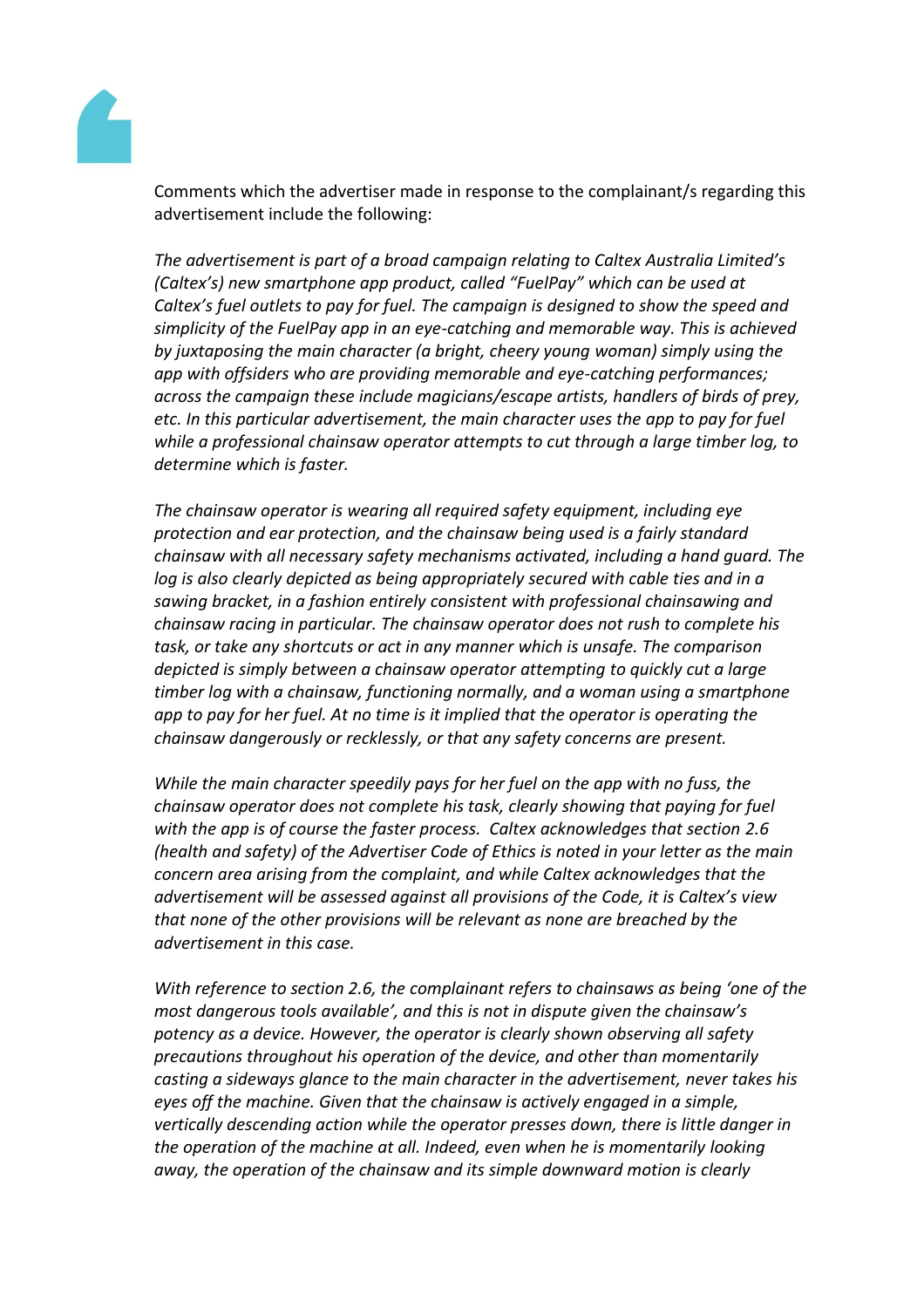

Comments which the advertiser made in response to the complainant/s regarding this advertisement include the following:

*The advertisement is part of a broad campaign relating to Caltex Australia Limited's (Caltex's) new smartphone app product, called "FuelPay" which can be used at Caltex's fuel outlets to pay for fuel. The campaign is designed to show the speed and simplicity of the FuelPay app in an eye-catching and memorable way. This is achieved by juxtaposing the main character (a bright, cheery young woman) simply using the app with offsiders who are providing memorable and eye-catching performances; across the campaign these include magicians/escape artists, handlers of birds of prey, etc. In this particular advertisement, the main character uses the app to pay for fuel while a professional chainsaw operator attempts to cut through a large timber log, to determine which is faster.* 

*The chainsaw operator is wearing all required safety equipment, including eye protection and ear protection, and the chainsaw being used is a fairly standard chainsaw with all necessary safety mechanisms activated, including a hand guard. The log is also clearly depicted as being appropriately secured with cable ties and in a sawing bracket, in a fashion entirely consistent with professional chainsawing and chainsaw racing in particular. The chainsaw operator does not rush to complete his task, or take any shortcuts or act in any manner which is unsafe. The comparison depicted is simply between a chainsaw operator attempting to quickly cut a large timber log with a chainsaw, functioning normally, and a woman using a smartphone app to pay for her fuel. At no time is it implied that the operator is operating the chainsaw dangerously or recklessly, or that any safety concerns are present.* 

*While the main character speedily pays for her fuel on the app with no fuss, the chainsaw operator does not complete his task, clearly showing that paying for fuel with the app is of course the faster process. Caltex acknowledges that section 2.6 (health and safety) of the Advertiser Code of Ethics is noted in your letter as the main concern area arising from the complaint, and while Caltex acknowledges that the advertisement will be assessed against all provisions of the Code, it is Caltex's view that none of the other provisions will be relevant as none are breached by the advertisement in this case.* 

*With reference to section 2.6, the complainant refers to chainsaws as being 'one of the most dangerous tools available', and this is not in dispute given the chainsaw's potency as a device. However, the operator is clearly shown observing all safety precautions throughout his operation of the device, and other than momentarily casting a sideways glance to the main character in the advertisement, never takes his eyes off the machine. Given that the chainsaw is actively engaged in a simple, vertically descending action while the operator presses down, there is little danger in the operation of the machine at all. Indeed, even when he is momentarily looking away, the operation of the chainsaw and its simple downward motion is clearly*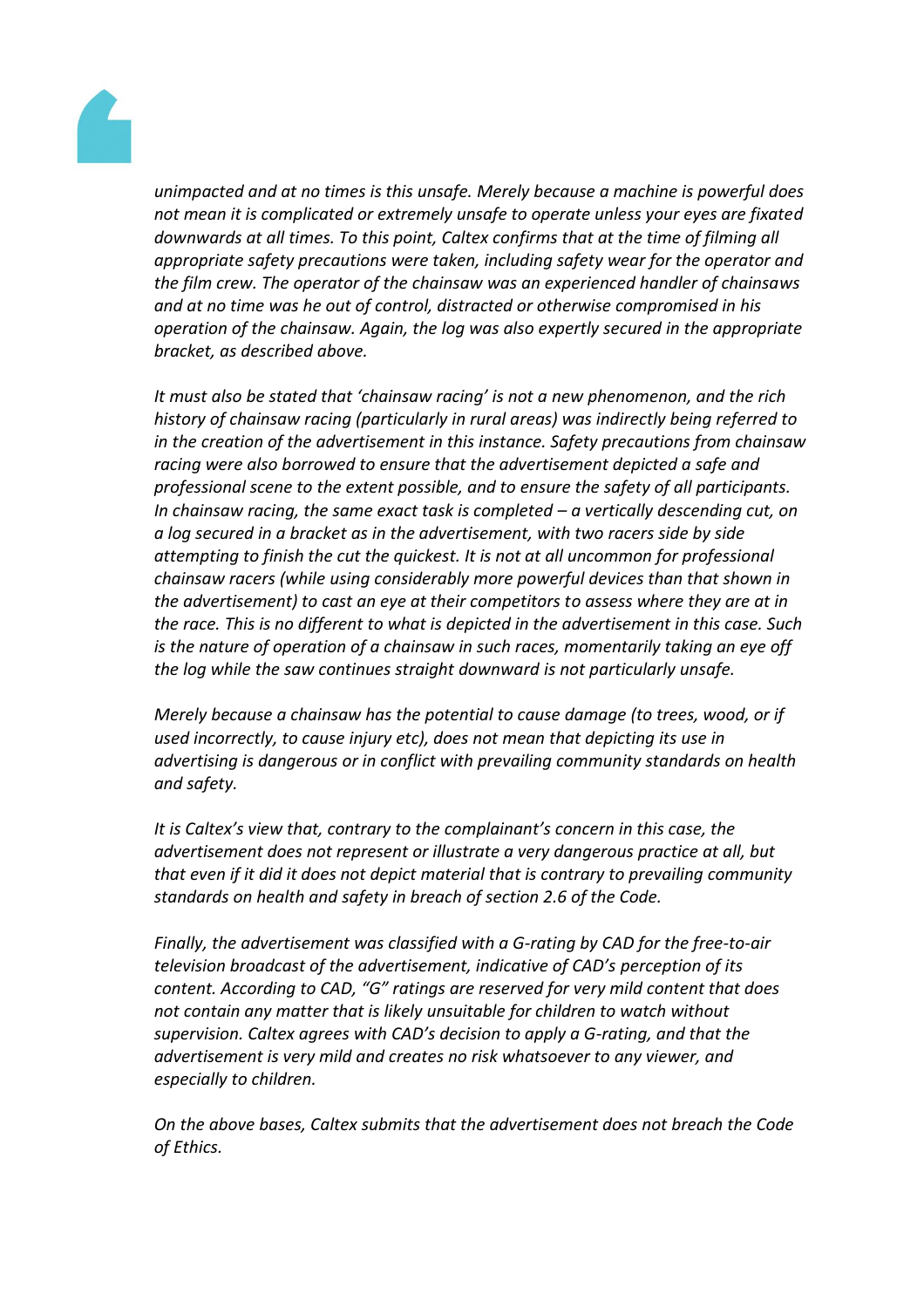

*unimpacted and at no times is this unsafe. Merely because a machine is powerful does not mean it is complicated or extremely unsafe to operate unless your eyes are fixated downwards at all times. To this point, Caltex confirms that at the time of filming all appropriate safety precautions were taken, including safety wear for the operator and the film crew. The operator of the chainsaw was an experienced handler of chainsaws and at no time was he out of control, distracted or otherwise compromised in his operation of the chainsaw. Again, the log was also expertly secured in the appropriate bracket, as described above.*

*It must also be stated that 'chainsaw racing' is not a new phenomenon, and the rich history of chainsaw racing (particularly in rural areas) was indirectly being referred to in the creation of the advertisement in this instance. Safety precautions from chainsaw racing were also borrowed to ensure that the advertisement depicted a safe and professional scene to the extent possible, and to ensure the safety of all participants. In chainsaw racing, the same exact task is completed – a vertically descending cut, on a log secured in a bracket as in the advertisement, with two racers side by side attempting to finish the cut the quickest. It is not at all uncommon for professional chainsaw racers (while using considerably more powerful devices than that shown in the advertisement) to cast an eye at their competitors to assess where they are at in the race. This is no different to what is depicted in the advertisement in this case. Such is the nature of operation of a chainsaw in such races, momentarily taking an eye off the log while the saw continues straight downward is not particularly unsafe.* 

*Merely because a chainsaw has the potential to cause damage (to trees, wood, or if used incorrectly, to cause injury etc), does not mean that depicting its use in advertising is dangerous or in conflict with prevailing community standards on health and safety.* 

*It is Caltex's view that, contrary to the complainant's concern in this case, the advertisement does not represent or illustrate a very dangerous practice at all, but that even if it did it does not depict material that is contrary to prevailing community standards on health and safety in breach of section 2.6 of the Code.* 

*Finally, the advertisement was classified with a G-rating by CAD for the free-to-air television broadcast of the advertisement, indicative of CAD's perception of its content. According to CAD, "G" ratings are reserved for very mild content that does not contain any matter that is likely unsuitable for children to watch without supervision. Caltex agrees with CAD's decision to apply a G-rating, and that the advertisement is very mild and creates no risk whatsoever to any viewer, and especially to children.*

*On the above bases, Caltex submits that the advertisement does not breach the Code of Ethics.*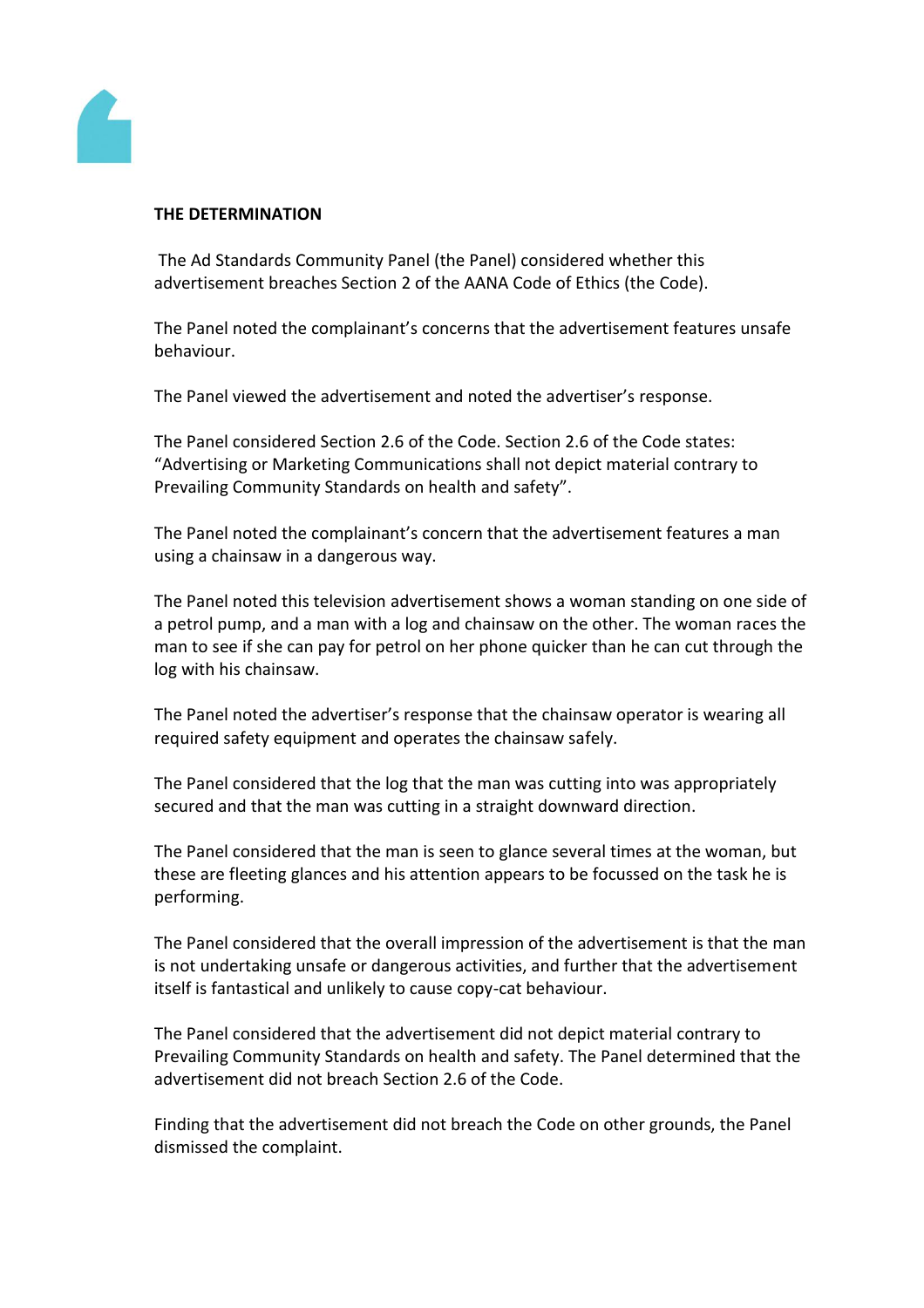

### **THE DETERMINATION**

The Ad Standards Community Panel (the Panel) considered whether this advertisement breaches Section 2 of the AANA Code of Ethics (the Code).

The Panel noted the complainant's concerns that the advertisement features unsafe behaviour.

The Panel viewed the advertisement and noted the advertiser's response.

The Panel considered Section 2.6 of the Code. Section 2.6 of the Code states: "Advertising or Marketing Communications shall not depict material contrary to Prevailing Community Standards on health and safety".

The Panel noted the complainant's concern that the advertisement features a man using a chainsaw in a dangerous way.

The Panel noted this television advertisement shows a woman standing on one side of a petrol pump, and a man with a log and chainsaw on the other. The woman races the man to see if she can pay for petrol on her phone quicker than he can cut through the log with his chainsaw.

The Panel noted the advertiser's response that the chainsaw operator is wearing all required safety equipment and operates the chainsaw safely.

The Panel considered that the log that the man was cutting into was appropriately secured and that the man was cutting in a straight downward direction.

The Panel considered that the man is seen to glance several times at the woman, but these are fleeting glances and his attention appears to be focussed on the task he is performing.

The Panel considered that the overall impression of the advertisement is that the man is not undertaking unsafe or dangerous activities, and further that the advertisement itself is fantastical and unlikely to cause copy-cat behaviour.

The Panel considered that the advertisement did not depict material contrary to Prevailing Community Standards on health and safety. The Panel determined that the advertisement did not breach Section 2.6 of the Code.

Finding that the advertisement did not breach the Code on other grounds, the Panel dismissed the complaint.